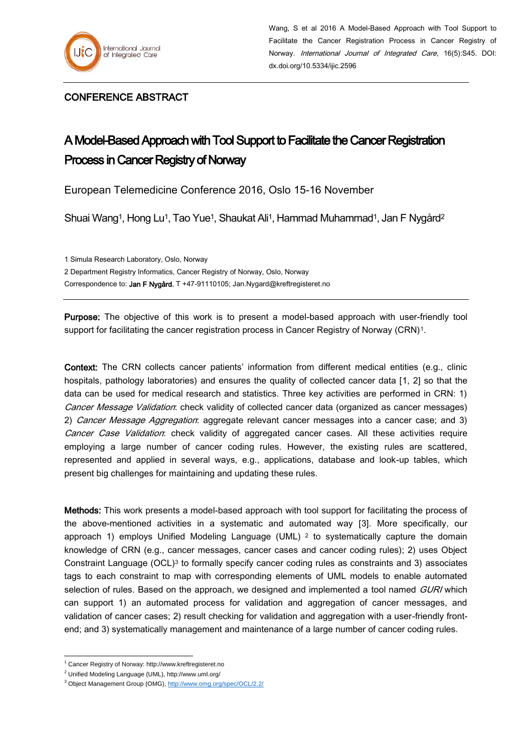

## CONFERENCE ABSTRACT

## A Model-Based Approach with Tool Support to Facilitate the Cancer Registration Process in Cancer Registry of Norway

European Telemedicine Conference 2016, Oslo 15-16 November

Shuai Wang<sup>1</sup>, Hong Lu<sup>1</sup>, Tao Yue<sup>1</sup>, Shaukat Ali<sup>1</sup>, Hammad Muhammad<sup>1</sup>, Jan F Nygård<sup>2</sup>

1 Simula Research Laboratory, Oslo, Norway

2 Department Registry Informatics, Cancer Registry of Norway, Oslo, Norway

Correspondence to: Jan F Nygård, T +47-91110105; Jan.Nygard@kreftregisteret.no

Purpose: The objective of this work is to present a model-based approach with user-friendly tool support for facilitating the cancer registration process in Cancer Registry of Norway (CRN)<sup>1</sup>.

Context: The CRN collects cancer patients' information from different medical entities (e.g., clinic hospitals, pathology laboratories) and ensures the quality of collected cancer data [\[1,](#page-1-0) [2\]](#page-1-1) so that the data can be used for medical research and statistics. Three key activities are performed in CRN: 1) Cancer Message Validation: check validity of collected cancer data (organized as cancer messages) 2) Cancer Message Aggregation: aggregate relevant cancer messages into a cancer case; and 3) Cancer Case Validation: check validity of aggregated cancer cases. All these activities require employing a large number of cancer coding rules. However, the existing rules are scattered, represented and applied in several ways, e.g., applications, database and look-up tables, which present big challenges for maintaining and updating these rules.

Methods: This work presents a model-based approach with tool support for facilitating the process of the above-mentioned activities in a systematic and automated way [\[3\]](#page-1-2). More specifically, our approach 1) employs Unified Modeling Language (UML)  $2$  to systematically capture the domain knowledge of CRN (e.g., cancer messages, cancer cases and cancer coding rules); 2) uses Object Constraint Language (OCL)<sup>3</sup> to formally specify cancer coding rules as constraints and 3) associates tags to each constraint to map with corresponding elements of UML models to enable automated selection of rules. Based on the approach, we designed and implemented a tool named GURI which can support 1) an automated process for validation and aggregation of cancer messages, and validation of cancer cases; 2) result checking for validation and aggregation with a user-friendly frontend; and 3) systematically management and maintenance of a large number of cancer coding rules.

<sup>1</sup> <sup>1</sup> Cancer Registry of Norway: http://www.kreftregisteret.no

<sup>2</sup> Unified Modeling Language (UML), http://www.uml.org/

<sup>3</sup> Object Management Group (OMG)[, http://www.omg.org/spec/OCL/2.2/](http://www.omg.org/spec/OCL/2.2/)